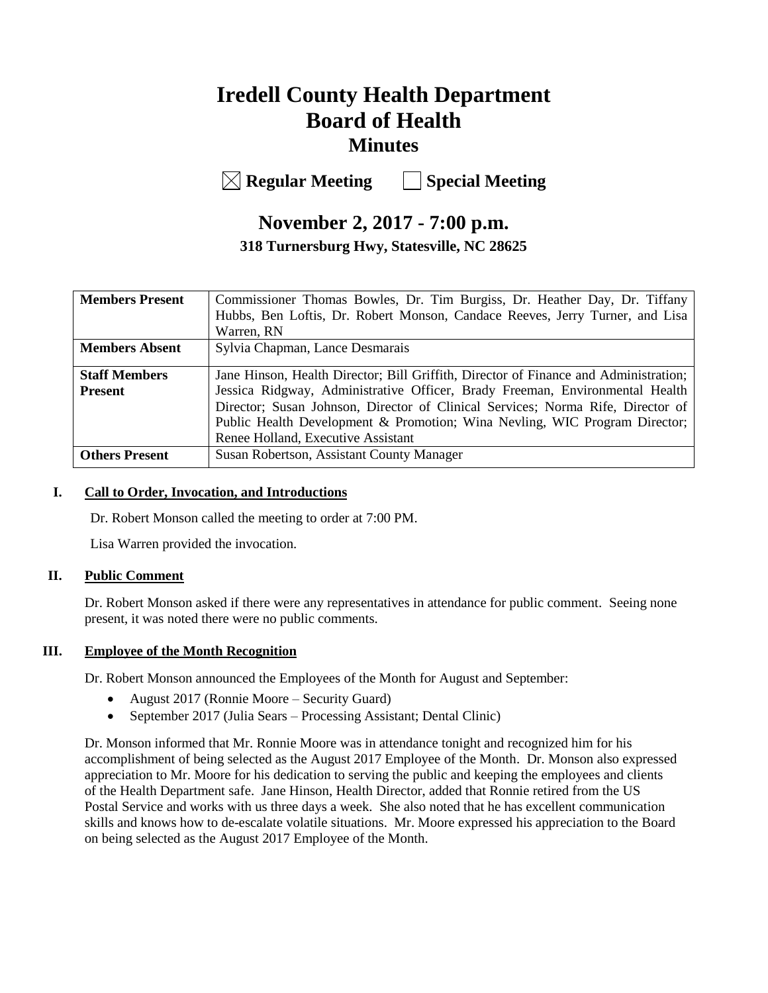# **Iredell County Health Department Board of Health Minutes**

**Regular Meeting Special Meeting**

# **November 2, 2017 - 7:00 p.m.**

**318 Turnersburg Hwy, Statesville, NC 28625**

| <b>Members Present</b> | Commissioner Thomas Bowles, Dr. Tim Burgiss, Dr. Heather Day, Dr. Tiffany            |
|------------------------|--------------------------------------------------------------------------------------|
|                        | Hubbs, Ben Loftis, Dr. Robert Monson, Candace Reeves, Jerry Turner, and Lisa         |
|                        | Warren, RN                                                                           |
| <b>Members Absent</b>  | Sylvia Chapman, Lance Desmarais                                                      |
|                        |                                                                                      |
| <b>Staff Members</b>   | Jane Hinson, Health Director; Bill Griffith, Director of Finance and Administration; |
| <b>Present</b>         | Jessica Ridgway, Administrative Officer, Brady Freeman, Environmental Health         |
|                        | Director; Susan Johnson, Director of Clinical Services; Norma Rife, Director of      |
|                        | Public Health Development & Promotion; Wina Nevling, WIC Program Director;           |
|                        | Renee Holland, Executive Assistant                                                   |
| <b>Others Present</b>  | Susan Robertson, Assistant County Manager                                            |

#### **I. Call to Order, Invocation, and Introductions**

Dr. Robert Monson called the meeting to order at 7:00 PM.

Lisa Warren provided the invocation.

# **II. Public Comment**

Dr. Robert Monson asked if there were any representatives in attendance for public comment.Seeing none present, it was noted there were no public comments.

# **III. Employee of the Month Recognition**

Dr. Robert Monson announced the Employees of the Month for August and September:

- August 2017 (Ronnie Moore Security Guard)
- September 2017 (Julia Sears Processing Assistant; Dental Clinic)

Dr. Monson informed that Mr. Ronnie Moore was in attendance tonight and recognized him for his accomplishment of being selected as the August 2017 Employee of the Month. Dr. Monson also expressed appreciation to Mr. Moore for his dedication to serving the public and keeping the employees and clients of the Health Department safe. Jane Hinson, Health Director, added that Ronnie retired from the US Postal Service and works with us three days a week. She also noted that he has excellent communication skills and knows how to de-escalate volatile situations. Mr. Moore expressed his appreciation to the Board on being selected as the August 2017 Employee of the Month.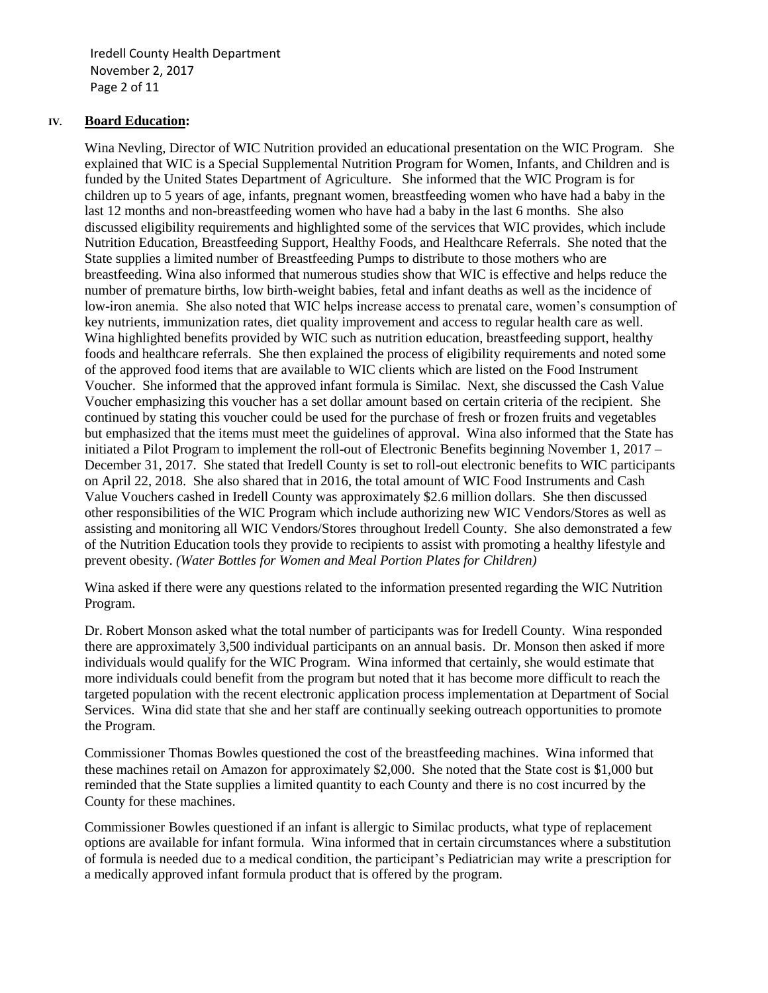Iredell County Health Department November 2, 2017 Page 2 of 11

#### **IV. Board Education:**

Wina Nevling, Director of WIC Nutrition provided an educational presentation on the WIC Program. She explained that WIC is a Special Supplemental Nutrition Program for Women, Infants, and Children and is funded by the United States Department of Agriculture. She informed that the WIC Program is for children up to 5 years of age, infants, pregnant women, breastfeeding women who have had a baby in the last 12 months and non-breastfeeding women who have had a baby in the last 6 months. She also discussed eligibility requirements and highlighted some of the services that WIC provides, which include Nutrition Education, Breastfeeding Support, Healthy Foods, and Healthcare Referrals. She noted that the State supplies a limited number of Breastfeeding Pumps to distribute to those mothers who are breastfeeding. Wina also informed that numerous studies show that WIC is effective and helps reduce the number of premature births, low birth-weight babies, fetal and infant deaths as well as the incidence of low-iron anemia. She also noted that WIC helps increase access to prenatal care, women's consumption of key nutrients, immunization rates, diet quality improvement and access to regular health care as well. Wina highlighted benefits provided by WIC such as nutrition education, breastfeeding support, healthy foods and healthcare referrals. She then explained the process of eligibility requirements and noted some of the approved food items that are available to WIC clients which are listed on the Food Instrument Voucher. She informed that the approved infant formula is Similac. Next, she discussed the Cash Value Voucher emphasizing this voucher has a set dollar amount based on certain criteria of the recipient. She continued by stating this voucher could be used for the purchase of fresh or frozen fruits and vegetables but emphasized that the items must meet the guidelines of approval. Wina also informed that the State has initiated a Pilot Program to implement the roll-out of Electronic Benefits beginning November 1, 2017 – December 31, 2017. She stated that Iredell County is set to roll-out electronic benefits to WIC participants on April 22, 2018. She also shared that in 2016, the total amount of WIC Food Instruments and Cash Value Vouchers cashed in Iredell County was approximately \$2.6 million dollars. She then discussed other responsibilities of the WIC Program which include authorizing new WIC Vendors/Stores as well as assisting and monitoring all WIC Vendors/Stores throughout Iredell County. She also demonstrated a few of the Nutrition Education tools they provide to recipients to assist with promoting a healthy lifestyle and prevent obesity. *(Water Bottles for Women and Meal Portion Plates for Children)* 

Wina asked if there were any questions related to the information presented regarding the WIC Nutrition Program.

Dr. Robert Monson asked what the total number of participants was for Iredell County. Wina responded there are approximately 3,500 individual participants on an annual basis. Dr. Monson then asked if more individuals would qualify for the WIC Program. Wina informed that certainly, she would estimate that more individuals could benefit from the program but noted that it has become more difficult to reach the targeted population with the recent electronic application process implementation at Department of Social Services. Wina did state that she and her staff are continually seeking outreach opportunities to promote the Program.

Commissioner Thomas Bowles questioned the cost of the breastfeeding machines. Wina informed that these machines retail on Amazon for approximately \$2,000. She noted that the State cost is \$1,000 but reminded that the State supplies a limited quantity to each County and there is no cost incurred by the County for these machines.

Commissioner Bowles questioned if an infant is allergic to Similac products, what type of replacement options are available for infant formula. Wina informed that in certain circumstances where a substitution of formula is needed due to a medical condition, the participant's Pediatrician may write a prescription for a medically approved infant formula product that is offered by the program.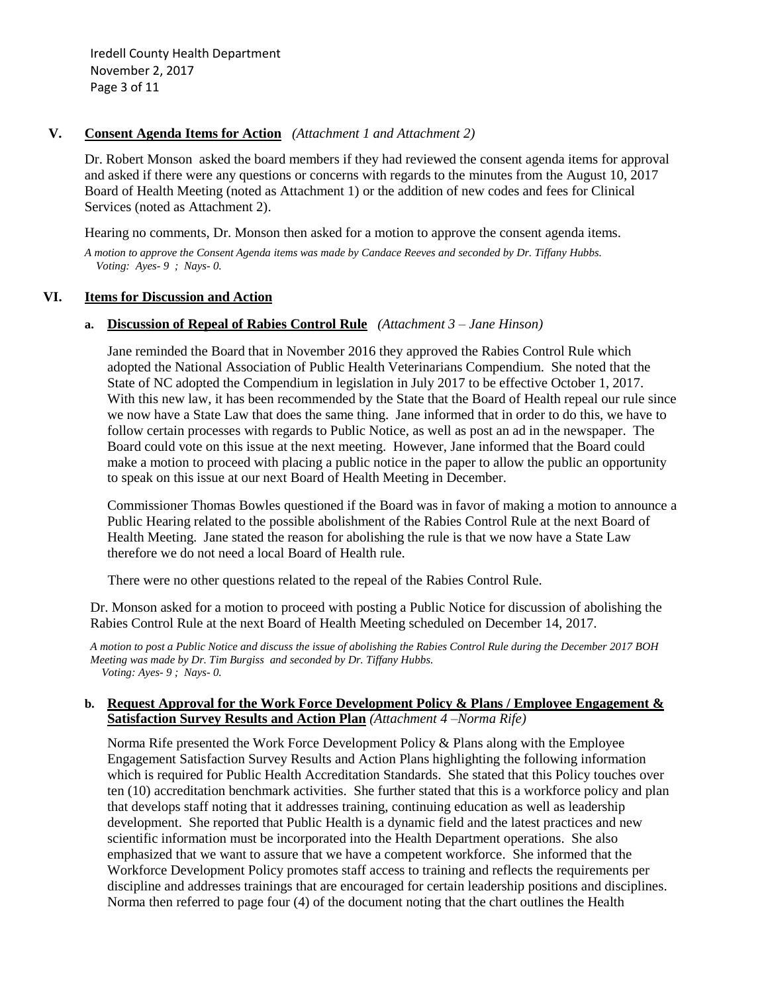Iredell County Health Department November 2, 2017 Page 3 of 11

#### **V. Consent Agenda Items for Action** *(Attachment 1 and Attachment 2)*

Dr. Robert Monsonasked the board members if they had reviewed the consent agenda items for approval and asked if there were any questions or concerns with regards to the minutes from the August 10, 2017 Board of Health Meeting (noted as Attachment 1) or the addition of new codes and fees for Clinical Services (noted as Attachment 2).

Hearing no comments, Dr. Monson then asked for a motion to approve the consent agenda items.

*A motion to approve the Consent Agenda items was made by Candace Reeves and seconded by Dr. Tiffany Hubbs. Voting: Ayes- 9 ; Nays- 0.*

#### **VI. Items for Discussion and Action**

#### **a. Discussion of Repeal of Rabies Control Rule** *(Attachment 3 – Jane Hinson)*

Jane reminded the Board that in November 2016 they approved the Rabies Control Rule which adopted the National Association of Public Health Veterinarians Compendium. She noted that the State of NC adopted the Compendium in legislation in July 2017 to be effective October 1, 2017. With this new law, it has been recommended by the State that the Board of Health repeal our rule since we now have a State Law that does the same thing. Jane informed that in order to do this, we have to follow certain processes with regards to Public Notice, as well as post an ad in the newspaper. The Board could vote on this issue at the next meeting. However, Jane informed that the Board could make a motion to proceed with placing a public notice in the paper to allow the public an opportunity to speak on this issue at our next Board of Health Meeting in December.

Commissioner Thomas Bowles questioned if the Board was in favor of making a motion to announce a Public Hearing related to the possible abolishment of the Rabies Control Rule at the next Board of Health Meeting. Jane stated the reason for abolishing the rule is that we now have a State Law therefore we do not need a local Board of Health rule.

There were no other questions related to the repeal of the Rabies Control Rule.

Dr. Monson asked for a motion to proceed with posting a Public Notice for discussion of abolishing the Rabies Control Rule at the next Board of Health Meeting scheduled on December 14, 2017.

*A motion to post a Public Notice and discuss the issue of abolishing the Rabies Control Rule during the December 2017 BOH Meeting was made by Dr. Tim Burgiss and seconded by Dr. Tiffany Hubbs. Voting: Ayes- 9 ; Nays- 0.*

#### **b. Request Approval for the Work Force Development Policy & Plans / Employee Engagement & Satisfaction Survey Results and Action Plan** *(Attachment 4 –Norma Rife)*

Norma Rife presented the Work Force Development Policy & Plans along with the Employee Engagement Satisfaction Survey Results and Action Plans highlighting the following information which is required for Public Health Accreditation Standards. She stated that this Policy touches over ten (10) accreditation benchmark activities. She further stated that this is a workforce policy and plan that develops staff noting that it addresses training, continuing education as well as leadership development. She reported that Public Health is a dynamic field and the latest practices and new scientific information must be incorporated into the Health Department operations. She also emphasized that we want to assure that we have a competent workforce. She informed that the Workforce Development Policy promotes staff access to training and reflects the requirements per discipline and addresses trainings that are encouraged for certain leadership positions and disciplines. Norma then referred to page four (4) of the document noting that the chart outlines the Health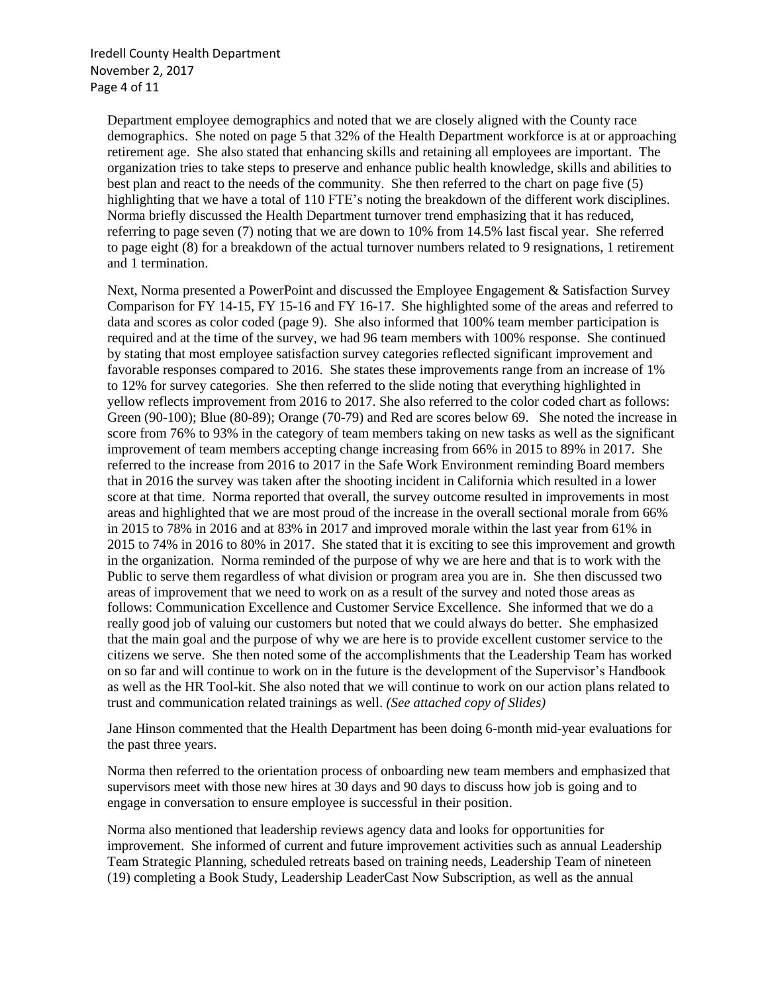Iredell County Health Department November 2, 2017 Page 4 of 11

Department employee demographics and noted that we are closely aligned with the County race demographics. She noted on page 5 that 32% of the Health Department workforce is at or approaching retirement age. She also stated that enhancing skills and retaining all employees are important. The organization tries to take steps to preserve and enhance public health knowledge, skills and abilities to best plan and react to the needs of the community. She then referred to the chart on page five (5) highlighting that we have a total of 110 FTE's noting the breakdown of the different work disciplines. Norma briefly discussed the Health Department turnover trend emphasizing that it has reduced, referring to page seven (7) noting that we are down to 10% from 14.5% last fiscal year. She referred to page eight (8) for a breakdown of the actual turnover numbers related to 9 resignations, 1 retirement and 1 termination.

Next, Norma presented a PowerPoint and discussed the Employee Engagement & Satisfaction Survey Comparison for FY 14-15, FY 15-16 and FY 16-17. She highlighted some of the areas and referred to data and scores as color coded (page 9). She also informed that 100% team member participation is required and at the time of the survey, we had 96 team members with 100% response. She continued by stating that most employee satisfaction survey categories reflected significant improvement and favorable responses compared to 2016. She states these improvements range from an increase of 1% to 12% for survey categories. She then referred to the slide noting that everything highlighted in yellow reflects improvement from 2016 to 2017. She also referred to the color coded chart as follows: Green (90-100); Blue (80-89); Orange (70-79) and Red are scores below 69. She noted the increase in score from 76% to 93% in the category of team members taking on new tasks as well as the significant improvement of team members accepting change increasing from 66% in 2015 to 89% in 2017. She referred to the increase from 2016 to 2017 in the Safe Work Environment reminding Board members that in 2016 the survey was taken after the shooting incident in California which resulted in a lower score at that time. Norma reported that overall, the survey outcome resulted in improvements in most areas and highlighted that we are most proud of the increase in the overall sectional morale from 66% in 2015 to 78% in 2016 and at 83% in 2017 and improved morale within the last year from 61% in 2015 to 74% in 2016 to 80% in 2017. She stated that it is exciting to see this improvement and growth in the organization. Norma reminded of the purpose of why we are here and that is to work with the Public to serve them regardless of what division or program area you are in. She then discussed two areas of improvement that we need to work on as a result of the survey and noted those areas as follows: Communication Excellence and Customer Service Excellence. She informed that we do a really good job of valuing our customers but noted that we could always do better. She emphasized that the main goal and the purpose of why we are here is to provide excellent customer service to the citizens we serve. She then noted some of the accomplishments that the Leadership Team has worked on so far and will continue to work on in the future is the development of the Supervisor's Handbook as well as the HR Tool-kit. She also noted that we will continue to work on our action plans related to trust and communication related trainings as well. *(See attached copy of Slides)*

Jane Hinson commented that the Health Department has been doing 6-month mid-year evaluations for the past three years.

Norma then referred to the orientation process of onboarding new team members and emphasized that supervisors meet with those new hires at 30 days and 90 days to discuss how job is going and to engage in conversation to ensure employee is successful in their position.

Norma also mentioned that leadership reviews agency data and looks for opportunities for improvement. She informed of current and future improvement activities such as annual Leadership Team Strategic Planning, scheduled retreats based on training needs, Leadership Team of nineteen (19) completing a Book Study, Leadership LeaderCast Now Subscription, as well as the annual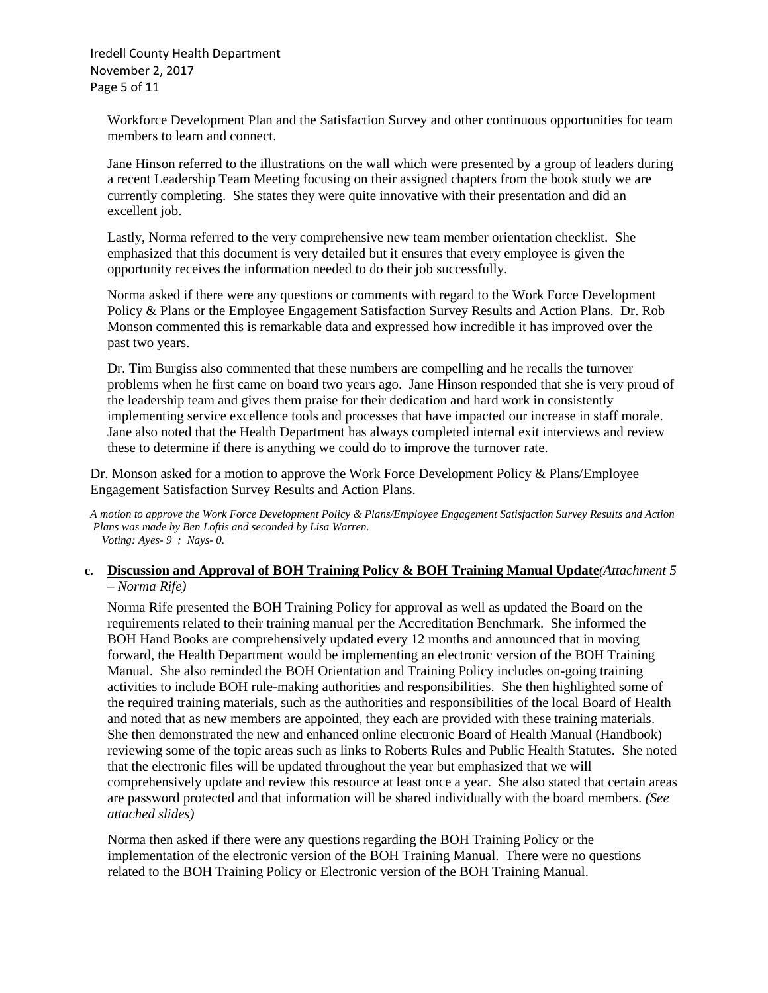Iredell County Health Department November 2, 2017 Page 5 of 11

Workforce Development Plan and the Satisfaction Survey and other continuous opportunities for team members to learn and connect.

Jane Hinson referred to the illustrations on the wall which were presented by a group of leaders during a recent Leadership Team Meeting focusing on their assigned chapters from the book study we are currently completing. She states they were quite innovative with their presentation and did an excellent job.

Lastly, Norma referred to the very comprehensive new team member orientation checklist. She emphasized that this document is very detailed but it ensures that every employee is given the opportunity receives the information needed to do their job successfully.

Norma asked if there were any questions or comments with regard to the Work Force Development Policy & Plans or the Employee Engagement Satisfaction Survey Results and Action Plans. Dr. Rob Monson commented this is remarkable data and expressed how incredible it has improved over the past two years.

Dr. Tim Burgiss also commented that these numbers are compelling and he recalls the turnover problems when he first came on board two years ago. Jane Hinson responded that she is very proud of the leadership team and gives them praise for their dedication and hard work in consistently implementing service excellence tools and processes that have impacted our increase in staff morale. Jane also noted that the Health Department has always completed internal exit interviews and review these to determine if there is anything we could do to improve the turnover rate.

Dr. Monson asked for a motion to approve the Work Force Development Policy & Plans/Employee Engagement Satisfaction Survey Results and Action Plans.

*A motion to approve the Work Force Development Policy & Plans/Employee Engagement Satisfaction Survey Results and Action Plans was made by Ben Loftis and seconded by Lisa Warren. Voting: Ayes- 9 ; Nays- 0.*

#### **c. Discussion and Approval of BOH Training Policy & BOH Training Manual Update***(Attachment 5 – Norma Rife)*

Norma Rife presented the BOH Training Policy for approval as well as updated the Board on the requirements related to their training manual per the Accreditation Benchmark. She informed the BOH Hand Books are comprehensively updated every 12 months and announced that in moving forward, the Health Department would be implementing an electronic version of the BOH Training Manual. She also reminded the BOH Orientation and Training Policy includes on-going training activities to include BOH rule-making authorities and responsibilities. She then highlighted some of the required training materials, such as the authorities and responsibilities of the local Board of Health and noted that as new members are appointed, they each are provided with these training materials. She then demonstrated the new and enhanced online electronic Board of Health Manual (Handbook) reviewing some of the topic areas such as links to Roberts Rules and Public Health Statutes. She noted that the electronic files will be updated throughout the year but emphasized that we will comprehensively update and review this resource at least once a year. She also stated that certain areas are password protected and that information will be shared individually with the board members*. (See attached slides)*

 Norma then asked if there were any questions regarding the BOH Training Policy or the implementation of the electronic version of the BOH Training Manual. There were no questions related to the BOH Training Policy or Electronic version of the BOH Training Manual.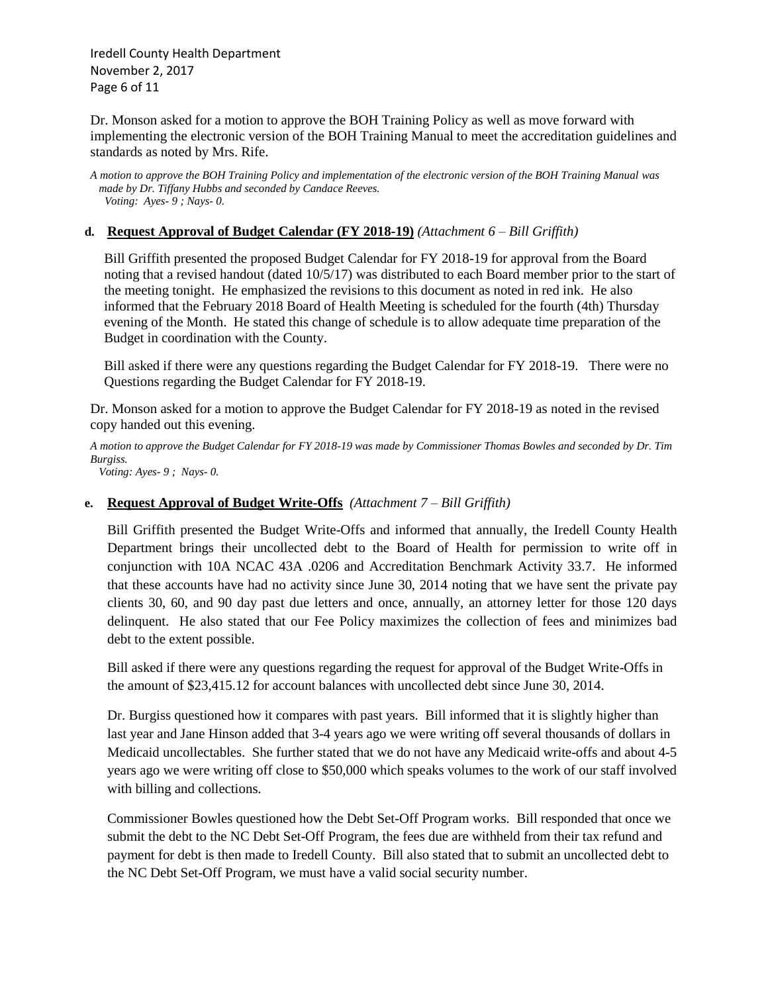Iredell County Health Department November 2, 2017 Page 6 of 11

Dr. Monson asked for a motion to approve the BOH Training Policy as well as move forward with implementing the electronic version of the BOH Training Manual to meet the accreditation guidelines and standards as noted by Mrs. Rife.

*A motion to approve the BOH Training Policy and implementation of the electronic version of the BOH Training Manual was made by Dr. Tiffany Hubbs and seconded by Candace Reeves. Voting: Ayes- 9 ; Nays- 0.*

#### **d. Request Approval of Budget Calendar (FY 2018-19)** *(Attachment 6 – Bill Griffith)*

 Bill Griffith presented the proposed Budget Calendar for FY 2018-19 for approval from the Board noting that a revised handout (dated 10/5/17) was distributed to each Board member prior to the start of the meeting tonight. He emphasized the revisions to this document as noted in red ink. He also informed that the February 2018 Board of Health Meeting is scheduled for the fourth (4th) Thursday evening of the Month. He stated this change of schedule is to allow adequate time preparation of the Budget in coordination with the County.

 Bill asked if there were any questions regarding the Budget Calendar for FY 2018-19. There were no Questions regarding the Budget Calendar for FY 2018-19.

Dr. Monson asked for a motion to approve the Budget Calendar for FY 2018-19 as noted in the revised copy handed out this evening.

*A motion to approve the Budget Calendar for FY 2018-19 was made by Commissioner Thomas Bowles and seconded by Dr. Tim Burgiss.*

 *Voting: Ayes- 9 ; Nays- 0.*

#### **e. Request Approval of Budget Write-Offs** *(Attachment 7 – Bill Griffith)*

Bill Griffith presented the Budget Write-Offs and informed that annually, the Iredell County Health Department brings their uncollected debt to the Board of Health for permission to write off in conjunction with 10A NCAC 43A .0206 and Accreditation Benchmark Activity 33.7. He informed that these accounts have had no activity since June 30, 2014 noting that we have sent the private pay clients 30, 60, and 90 day past due letters and once, annually, an attorney letter for those 120 days delinquent. He also stated that our Fee Policy maximizes the collection of fees and minimizes bad debt to the extent possible.

Bill asked if there were any questions regarding the request for approval of the Budget Write-Offs in the amount of \$23,415.12 for account balances with uncollected debt since June 30, 2014.

Dr. Burgiss questioned how it compares with past years. Bill informed that it is slightly higher than last year and Jane Hinson added that 3-4 years ago we were writing off several thousands of dollars in Medicaid uncollectables. She further stated that we do not have any Medicaid write-offs and about 4-5 years ago we were writing off close to \$50,000 which speaks volumes to the work of our staff involved with billing and collections.

Commissioner Bowles questioned how the Debt Set-Off Program works. Bill responded that once we submit the debt to the NC Debt Set-Off Program, the fees due are withheld from their tax refund and payment for debt is then made to Iredell County. Bill also stated that to submit an uncollected debt to the NC Debt Set-Off Program, we must have a valid social security number.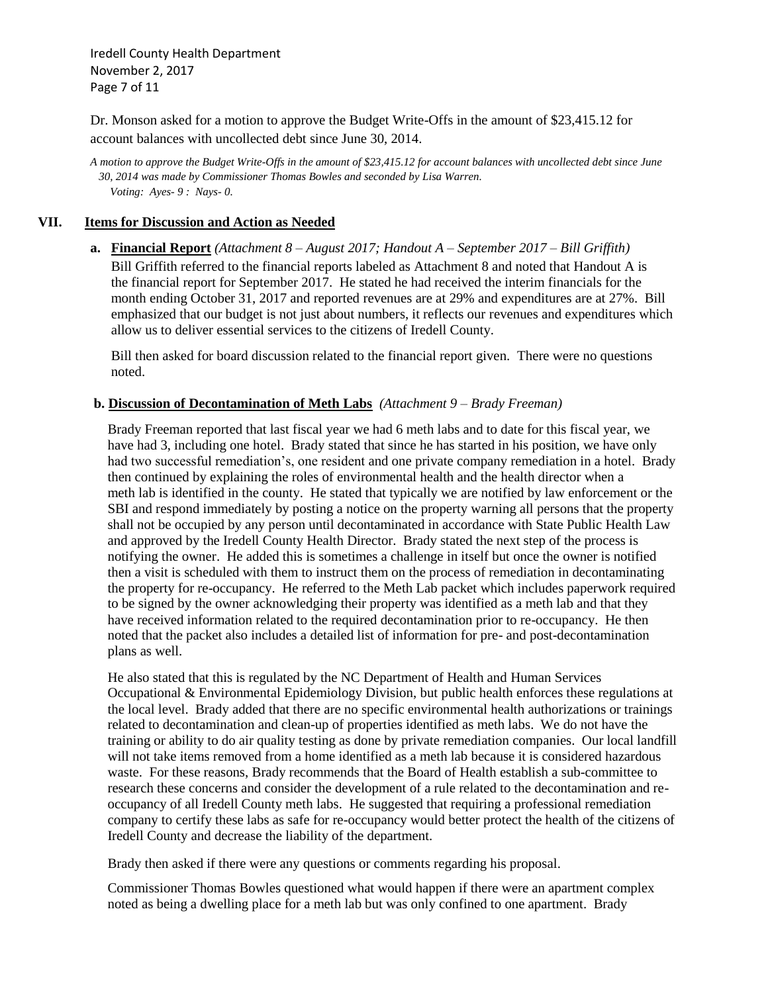Iredell County Health Department November 2, 2017 Page 7 of 11

Dr. Monson asked for a motion to approve the Budget Write-Offs in the amount of \$23,415.12 for account balances with uncollected debt since June 30, 2014.

*A motion to approve the Budget Write-Offs in the amount of \$23,415.12 for account balances with uncollected debt since June 30, 2014 was made by Commissioner Thomas Bowles and seconded by Lisa Warren. Voting: Ayes- 9 : Nays- 0.*

#### **VII. Items for Discussion and Action as Needed**

**a. Financial Report** *(Attachment 8 – August 2017; Handout A – September 2017 – Bill Griffith)* Bill Griffith referred to the financial reports labeled as Attachment 8 and noted that Handout A is the financial report for September 2017. He stated he had received the interim financials for the month ending October 31, 2017 and reported revenues are at 29% and expenditures are at 27%. Bill emphasized that our budget is not just about numbers, it reflects our revenues and expenditures which allow us to deliver essential services to the citizens of Iredell County.

 Bill then asked for board discussion related to the financial report given. There were no questions noted.

#### **b. Discussion of Decontamination of Meth Labs** *(Attachment 9 – Brady Freeman)*

 Brady Freeman reported that last fiscal year we had 6 meth labs and to date for this fiscal year, we have had 3, including one hotel. Brady stated that since he has started in his position, we have only had two successful remediation's, one resident and one private company remediation in a hotel. Brady then continued by explaining the roles of environmental health and the health director when a meth lab is identified in the county. He stated that typically we are notified by law enforcement or the SBI and respond immediately by posting a notice on the property warning all persons that the property shall not be occupied by any person until decontaminated in accordance with State Public Health Law and approved by the Iredell County Health Director. Brady stated the next step of the process is notifying the owner. He added this is sometimes a challenge in itself but once the owner is notified then a visit is scheduled with them to instruct them on the process of remediation in decontaminating the property for re-occupancy. He referred to the Meth Lab packet which includes paperwork required to be signed by the owner acknowledging their property was identified as a meth lab and that they have received information related to the required decontamination prior to re-occupancy. He then noted that the packet also includes a detailed list of information for pre- and post-decontamination plans as well.

 He also stated that this is regulated by the NC Department of Health and Human Services Occupational & Environmental Epidemiology Division, but public health enforces these regulations at the local level. Brady added that there are no specific environmental health authorizations or trainings related to decontamination and clean-up of properties identified as meth labs. We do not have the training or ability to do air quality testing as done by private remediation companies. Our local landfill will not take items removed from a home identified as a meth lab because it is considered hazardous waste. For these reasons, Brady recommends that the Board of Health establish a sub-committee to research these concerns and consider the development of a rule related to the decontamination and re occupancy of all Iredell County meth labs. He suggested that requiring a professional remediation company to certify these labs as safe for re-occupancy would better protect the health of the citizens of Iredell County and decrease the liability of the department.

Brady then asked if there were any questions or comments regarding his proposal.

 Commissioner Thomas Bowles questioned what would happen if there were an apartment complex noted as being a dwelling place for a meth lab but was only confined to one apartment. Brady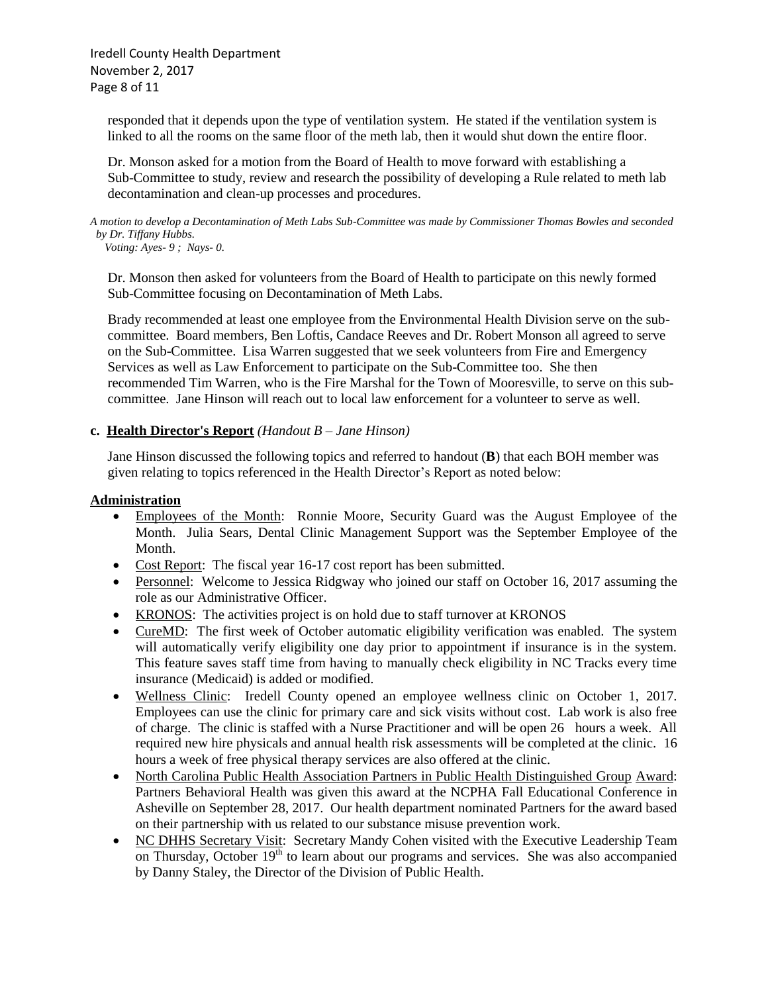Iredell County Health Department November 2, 2017 Page 8 of 11

 responded that it depends upon the type of ventilation system. He stated if the ventilation system is linked to all the rooms on the same floor of the meth lab, then it would shut down the entire floor.

 Dr. Monson asked for a motion from the Board of Health to move forward with establishing a Sub-Committee to study, review and research the possibility of developing a Rule related to meth lab decontamination and clean-up processes and procedures.

*A motion to develop a Decontamination of Meth Labs Sub-Committee was made by Commissioner Thomas Bowles and seconded by Dr. Tiffany Hubbs.* 

 *Voting: Ayes- 9 ; Nays- 0.*

 Dr. Monson then asked for volunteers from the Board of Health to participate on this newly formed Sub-Committee focusing on Decontamination of Meth Labs.

 Brady recommended at least one employee from the Environmental Health Division serve on the sub committee. Board members, Ben Loftis, Candace Reeves and Dr. Robert Monson all agreed to serve on the Sub-Committee. Lisa Warren suggested that we seek volunteers from Fire and Emergency Services as well as Law Enforcement to participate on the Sub-Committee too. She then recommended Tim Warren, who is the Fire Marshal for the Town of Mooresville, to serve on this sub committee. Jane Hinson will reach out to local law enforcement for a volunteer to serve as well.

#### **c. Health Director's Report** *(Handout B – Jane Hinson)*

 Jane Hinson discussed the following topics and referred to handout (**B**) that each BOH member was given relating to topics referenced in the Health Director's Report as noted below:

#### **Administration**

- Employees of the Month: Ronnie Moore, Security Guard was the August Employee of the Month. Julia Sears, Dental Clinic Management Support was the September Employee of the Month.
- Cost Report: The fiscal year 16-17 cost report has been submitted.
- Personnel: Welcome to Jessica Ridgway who joined our staff on October 16, 2017 assuming the role as our Administrative Officer.
- KRONOS: The activities project is on hold due to staff turnover at KRONOS
- CureMD: The first week of October automatic eligibility verification was enabled. The system will automatically verify eligibility one day prior to appointment if insurance is in the system. This feature saves staff time from having to manually check eligibility in NC Tracks every time insurance (Medicaid) is added or modified.
- Wellness Clinic: Iredell County opened an employee wellness clinic on October 1, 2017. Employees can use the clinic for primary care and sick visits without cost. Lab work is also free of charge. The clinic is staffed with a Nurse Practitioner and will be open 26 hours a week. All required new hire physicals and annual health risk assessments will be completed at the clinic. 16 hours a week of free physical therapy services are also offered at the clinic.
- North Carolina Public Health Association Partners in Public Health Distinguished Group Award: Partners Behavioral Health was given this award at the NCPHA Fall Educational Conference in Asheville on September 28, 2017. Our health department nominated Partners for the award based on their partnership with us related to our substance misuse prevention work.
- NC DHHS Secretary Visit: Secretary Mandy Cohen visited with the Executive Leadership Team on Thursday, October 19<sup>th</sup> to learn about our programs and services. She was also accompanied by Danny Staley, the Director of the Division of Public Health.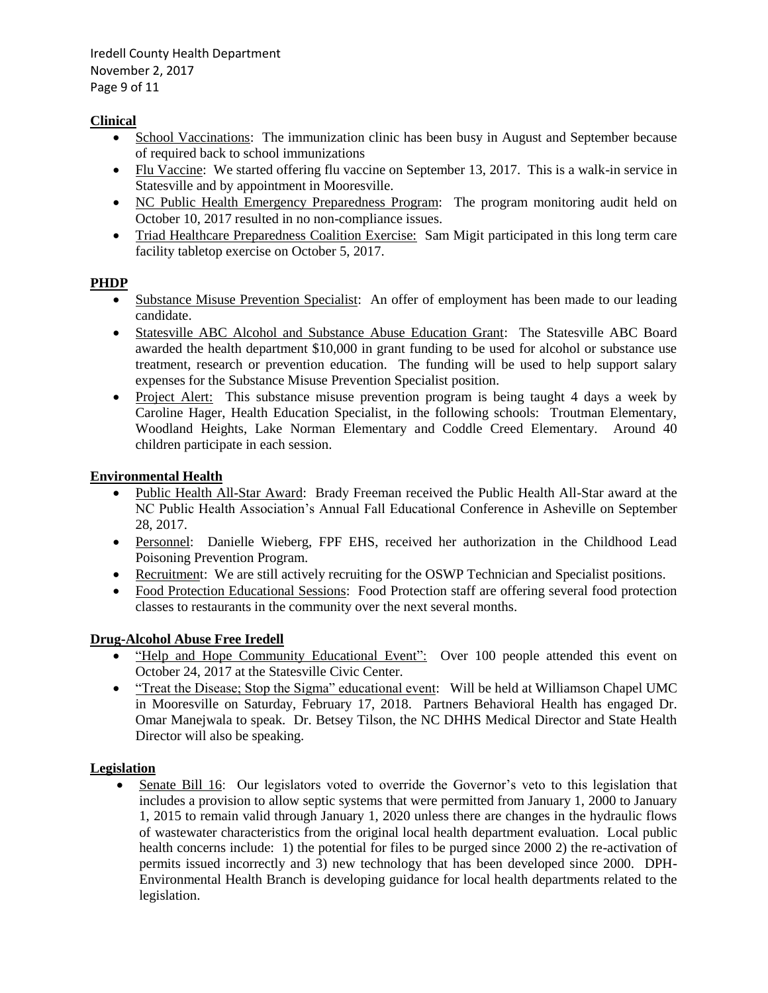Iredell County Health Department November 2, 2017 Page 9 of 11

# **Clinical**

- School Vaccinations: The immunization clinic has been busy in August and September because of required back to school immunizations
- Flu Vaccine: We started offering flu vaccine on September 13, 2017. This is a walk-in service in Statesville and by appointment in Mooresville.
- NC Public Health Emergency Preparedness Program: The program monitoring audit held on October 10, 2017 resulted in no non-compliance issues.
- Triad Healthcare Preparedness Coalition Exercise: Sam Migit participated in this long term care facility tabletop exercise on October 5, 2017.

# **PHDP**

- Substance Misuse Prevention Specialist: An offer of employment has been made to our leading candidate.
- Statesville ABC Alcohol and Substance Abuse Education Grant: The Statesville ABC Board awarded the health department \$10,000 in grant funding to be used for alcohol or substance use treatment, research or prevention education. The funding will be used to help support salary expenses for the Substance Misuse Prevention Specialist position.
- Project Alert: This substance misuse prevention program is being taught 4 days a week by Caroline Hager, Health Education Specialist, in the following schools: Troutman Elementary, Woodland Heights, Lake Norman Elementary and Coddle Creed Elementary. Around 40 children participate in each session.

# **Environmental Health**

- Public Health All-Star Award: Brady Freeman received the Public Health All-Star award at the NC Public Health Association's Annual Fall Educational Conference in Asheville on September 28, 2017.
- Personnel: Danielle Wieberg, FPF EHS, received her authorization in the Childhood Lead Poisoning Prevention Program.
- Recruitment: We are still actively recruiting for the OSWP Technician and Specialist positions.
- Food Protection Educational Sessions: Food Protection staff are offering several food protection classes to restaurants in the community over the next several months.

# **Drug-Alcohol Abuse Free Iredell**

- "Help and Hope Community Educational Event": Over 100 people attended this event on October 24, 2017 at the Statesville Civic Center.
- "Treat the Disease; Stop the Sigma" educational event: Will be held at Williamson Chapel UMC in Mooresville on Saturday, February 17, 2018. Partners Behavioral Health has engaged Dr. Omar Manejwala to speak. Dr. Betsey Tilson, the NC DHHS Medical Director and State Health Director will also be speaking.

# **Legislation**

• Senate Bill 16: Our legislators voted to override the Governor's veto to this legislation that includes a provision to allow septic systems that were permitted from January 1, 2000 to January 1, 2015 to remain valid through January 1, 2020 unless there are changes in the hydraulic flows of wastewater characteristics from the original local health department evaluation. Local public health concerns include: 1) the potential for files to be purged since 2000 2) the re-activation of permits issued incorrectly and 3) new technology that has been developed since 2000. DPH-Environmental Health Branch is developing guidance for local health departments related to the legislation.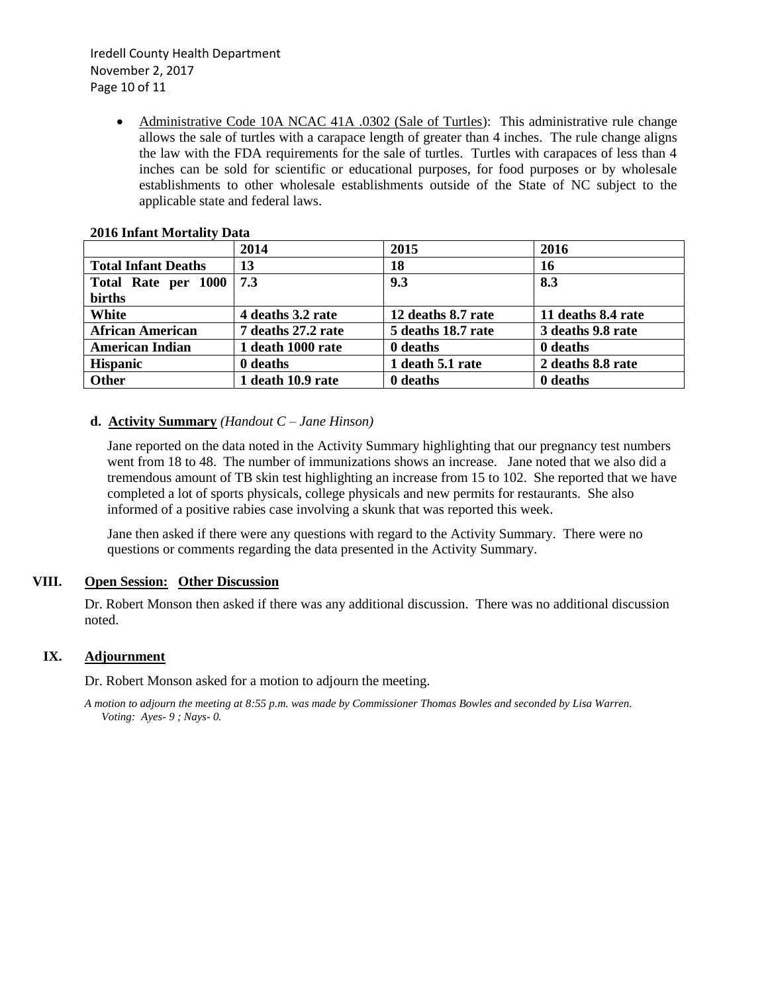Iredell County Health Department November 2, 2017 Page 10 of 11

> • Administrative Code 10A NCAC 41A .0302 (Sale of Turtles): This administrative rule change allows the sale of turtles with a carapace length of greater than 4 inches. The rule change aligns the law with the FDA requirements for the sale of turtles. Turtles with carapaces of less than 4 inches can be sold for scientific or educational purposes, for food purposes or by wholesale establishments to other wholesale establishments outside of the State of NC subject to the applicable state and federal laws.

|                            | 2014               | 2015               | 2016               |
|----------------------------|--------------------|--------------------|--------------------|
| <b>Total Infant Deaths</b> | 13                 | 18                 | 16                 |
| Total Rate per 1000        | 7.3                | 9.3                | 8.3                |
| births                     |                    |                    |                    |
| White                      | 4 deaths 3.2 rate  | 12 deaths 8.7 rate | 11 deaths 8.4 rate |
| <b>African American</b>    | 7 deaths 27.2 rate | 5 deaths 18.7 rate | 3 deaths 9.8 rate  |
| <b>American Indian</b>     | 1 death 1000 rate  | 0 deaths           | 0 deaths           |
| <b>Hispanic</b>            | 0 deaths           | 1 death 5.1 rate   | 2 deaths 8.8 rate  |
| Other                      | 1 death 10.9 rate  | 0 deaths           | 0 deaths           |

#### **2016 Infant Mortality Data**

#### **d. Activity Summary** *(Handout C – Jane Hinson)*

Jane reported on the data noted in the Activity Summary highlighting that our pregnancy test numbers went from 18 to 48. The number of immunizations shows an increase. Jane noted that we also did a tremendous amount of TB skin test highlighting an increase from 15 to 102. She reported that we have completed a lot of sports physicals, college physicals and new permits for restaurants. She also informed of a positive rabies case involving a skunk that was reported this week.

Jane then asked if there were any questions with regard to the Activity Summary. There were no questions or comments regarding the data presented in the Activity Summary.

#### **VIII. Open Session: Other Discussion**

Dr. Robert Monson then asked if there was any additional discussion. There was no additional discussion noted.

#### **IX. Adjournment**

Dr. Robert Monson asked for a motion to adjourn the meeting.

*A motion to adjourn the meeting at 8:55 p.m. was made by Commissioner Thomas Bowles and seconded by Lisa Warren. Voting: Ayes- 9 ; Nays- 0.*